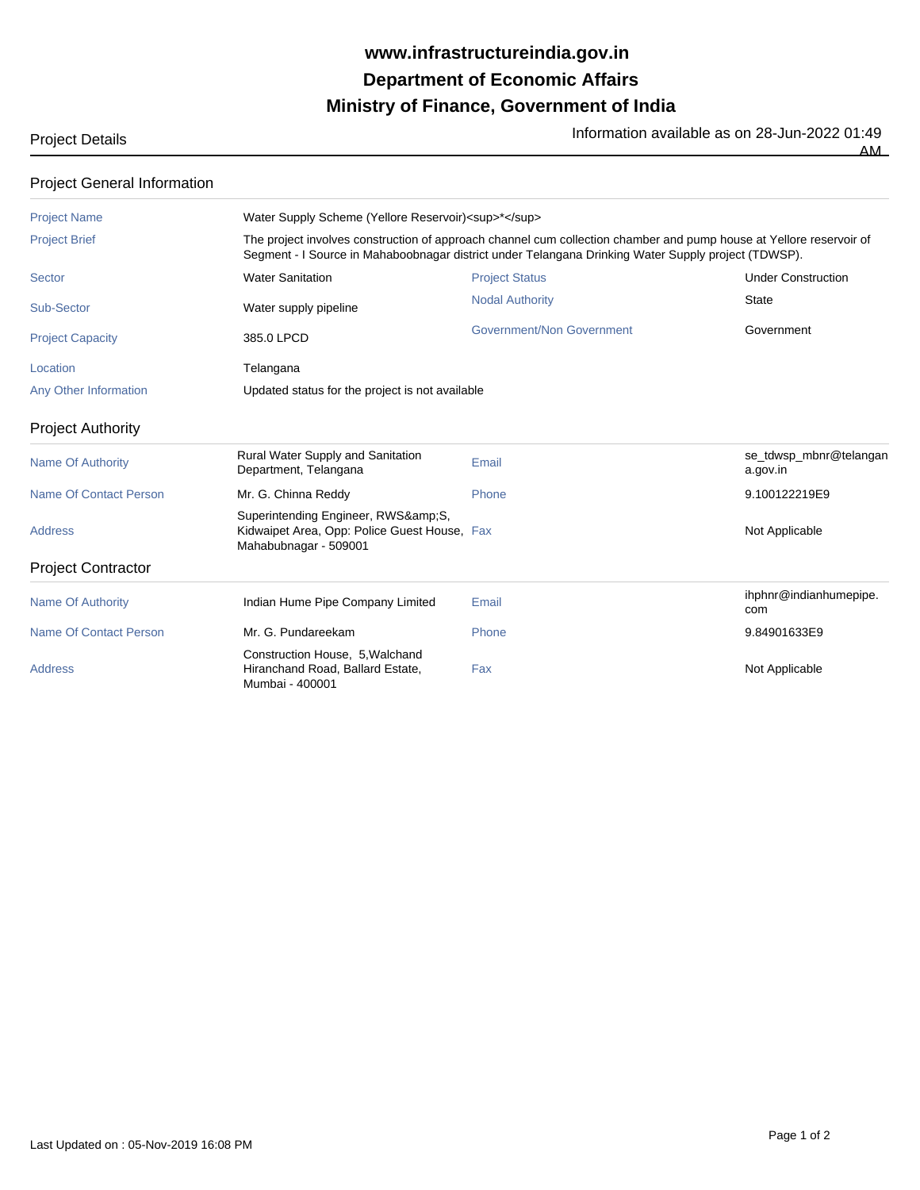## **Ministry of Finance, Government of India Department of Economic Affairs www.infrastructureindia.gov.in**

Project Details **Information available as on 28-Jun-2022 01:49** 

AM

| <b>Project General Information</b> |                                                                                                                                                                                                                            |                           |                                    |  |
|------------------------------------|----------------------------------------------------------------------------------------------------------------------------------------------------------------------------------------------------------------------------|---------------------------|------------------------------------|--|
| <b>Project Name</b>                | Water Supply Scheme (Yellore Reservoir) <sup>*</sup>                                                                                                                                                                       |                           |                                    |  |
| <b>Project Brief</b>               | The project involves construction of approach channel cum collection chamber and pump house at Yellore reservoir of<br>Segment - I Source in Mahaboobnagar district under Telangana Drinking Water Supply project (TDWSP). |                           |                                    |  |
| Sector                             | <b>Water Sanitation</b>                                                                                                                                                                                                    | <b>Project Status</b>     | <b>Under Construction</b>          |  |
| Sub-Sector                         | Water supply pipeline                                                                                                                                                                                                      | <b>Nodal Authority</b>    | <b>State</b>                       |  |
| <b>Project Capacity</b>            | 385.0 LPCD                                                                                                                                                                                                                 | Government/Non Government | Government                         |  |
| Location                           | Telangana                                                                                                                                                                                                                  |                           |                                    |  |
| Any Other Information              | Updated status for the project is not available                                                                                                                                                                            |                           |                                    |  |
| <b>Project Authority</b>           |                                                                                                                                                                                                                            |                           |                                    |  |
| <b>Name Of Authority</b>           | Rural Water Supply and Sanitation<br>Department, Telangana                                                                                                                                                                 | Email                     | se_tdwsp_mbnr@telangan<br>a.gov.in |  |
| Name Of Contact Person             | Mr. G. Chinna Reddy                                                                                                                                                                                                        | Phone                     | 9.100122219E9                      |  |
| <b>Address</b>                     | Superintending Engineer, RWS&S,<br>Kidwaipet Area, Opp: Police Guest House, Fax<br>Mahabubnagar - 509001                                                                                                                   |                           | Not Applicable                     |  |
| <b>Project Contractor</b>          |                                                                                                                                                                                                                            |                           |                                    |  |
| <b>Name Of Authority</b>           | Indian Hume Pipe Company Limited                                                                                                                                                                                           | Email                     | ihphnr@indianhumepipe.<br>com      |  |
| Name Of Contact Person             | Mr. G. Pundareekam                                                                                                                                                                                                         | Phone                     | 9.84901633E9                       |  |
| Address                            | Construction House, 5, Walchand<br>Hiranchand Road, Ballard Estate,<br>Mumbai - 400001                                                                                                                                     | Fax                       | Not Applicable                     |  |